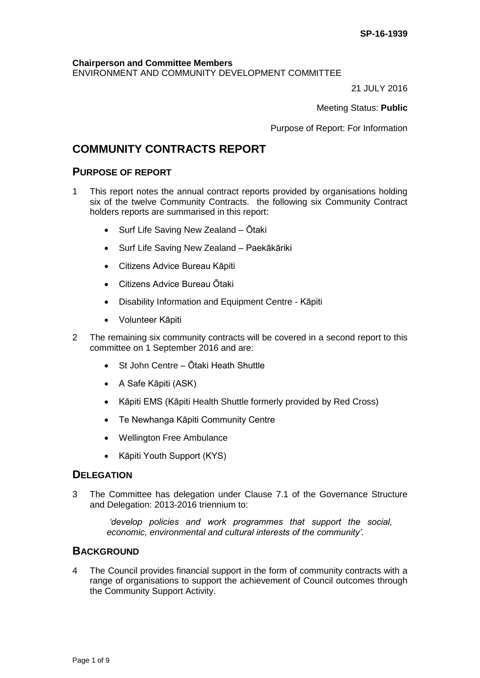#### **Chairperson and Committee Members**

ENVIRONMENT AND COMMUNITY DEVELOPMENT COMMITTEE

21 JULY 2016

Meeting Status: **Public**

Purpose of Report: For Information

# **COMMUNITY CONTRACTS REPORT**

## **PURPOSE OF REPORT**

- 1 This report notes the annual contract reports provided by organisations holding six of the twelve Community Contracts. the following six Community Contract holders reports are summarised in this report:
	- Surf Life Saving New Zealand Ōtaki
	- Surf Life Saving New Zealand Paekākāriki
	- Citizens Advice Bureau Kāpiti
	- Citizens Advice Bureau Ōtaki
	- Disability Information and Equipment Centre Kāpiti
	- Volunteer Kāpiti
- 2 The remaining six community contracts will be covered in a second report to this committee on 1 September 2016 and are:
	- St John Centre Ōtaki Heath Shuttle
	- A Safe Kāpiti (ASK)
	- Kāpiti EMS (Kāpiti Health Shuttle formerly provided by Red Cross)
	- Te Newhanga Kāpiti Community Centre
	- Wellington Free Ambulance
	- Kāpiti Youth Support (KYS)

## **DELEGATION**

3 The Committee has delegation under Clause 7.1 of the Governance Structure and Delegation: 2013-2016 triennium to:

> *'develop policies and work programmes that support the social, economic, environmental and cultural interests of the community'.*

## **BACKGROUND**

4 The Council provides financial support in the form of community contracts with a range of organisations to support the achievement of Council outcomes through the Community Support Activity.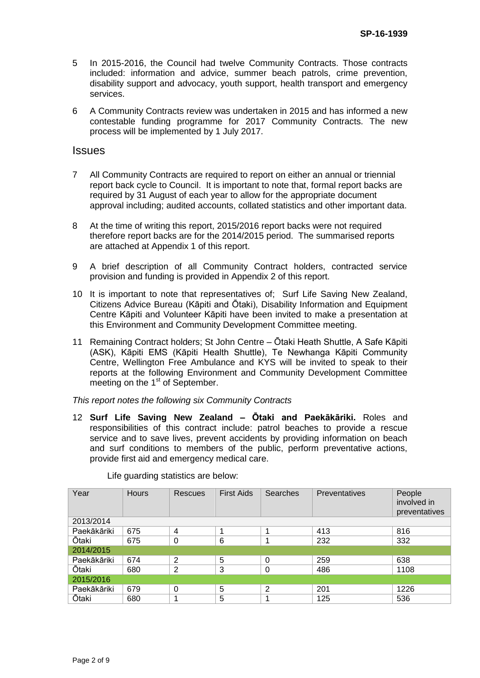- 5 In 2015-2016, the Council had twelve Community Contracts. Those contracts included: information and advice, summer beach patrols, crime prevention, disability support and advocacy, youth support, health transport and emergency services.
- 6 A Community Contracts review was undertaken in 2015 and has informed a new contestable funding programme for 2017 Community Contracts. The new process will be implemented by 1 July 2017.

### **Issues**

- 7 All Community Contracts are required to report on either an annual or triennial report back cycle to Council. It is important to note that, formal report backs are required by 31 August of each year to allow for the appropriate document approval including; audited accounts, collated statistics and other important data.
- 8 At the time of writing this report, 2015/2016 report backs were not required therefore report backs are for the 2014/2015 period. The summarised reports are attached at Appendix 1 of this report.
- 9 A brief description of all Community Contract holders, contracted service provision and funding is provided in Appendix 2 of this report.
- 10 It is important to note that representatives of; Surf Life Saving New Zealand, Citizens Advice Bureau (Kāpiti and Ōtaki), Disability Information and Equipment Centre Kāpiti and Volunteer Kāpiti have been invited to make a presentation at this Environment and Community Development Committee meeting.
- 11 Remaining Contract holders; St John Centre Ōtaki Heath Shuttle, A Safe Kāpiti (ASK), Kāpiti EMS (Kāpiti Health Shuttle), Te Newhanga Kāpiti Community Centre, Wellington Free Ambulance and KYS will be invited to speak to their reports at the following Environment and Community Development Committee meeting on the  $1<sup>st</sup>$  of September.

*This report notes the following six Community Contracts* 

12 **Surf Life Saving New Zealand – Ōtaki and Paekākāriki.** Roles and responsibilities of this contract include: patrol beaches to provide a rescue service and to save lives, prevent accidents by providing information on beach and surf conditions to members of the public, perform preventative actions, provide first aid and emergency medical care.

| Year         | <b>Hours</b> | <b>Rescues</b> | <b>First Aids</b> | Searches       | <b>Preventatives</b> | People<br>involved in<br>preventatives |
|--------------|--------------|----------------|-------------------|----------------|----------------------|----------------------------------------|
| 2013/2014    |              |                |                   |                |                      |                                        |
| Paekākāriki  | 675          | $\overline{4}$ | 4                 |                | 413                  | 816                                    |
| <b>Ōtaki</b> | 675          | $\Omega$       | 6                 |                | 232                  | 332                                    |
| 2014/2015    |              |                |                   |                |                      |                                        |
| Paekākāriki  | 674          | $\overline{2}$ | 5                 | $\Omega$       | 259                  | 638                                    |
| <b>Ōtaki</b> | 680          | $\overline{2}$ | 3                 | $\Omega$       | 486                  | 1108                                   |
| 2015/2016    |              |                |                   |                |                      |                                        |
| Paekākāriki  | 679          | $\Omega$       | 5                 | $\overline{2}$ | 201                  | 1226                                   |
| Ōtaki        | 680          |                | 5                 |                | 125                  | 536                                    |

Life guarding statistics are below: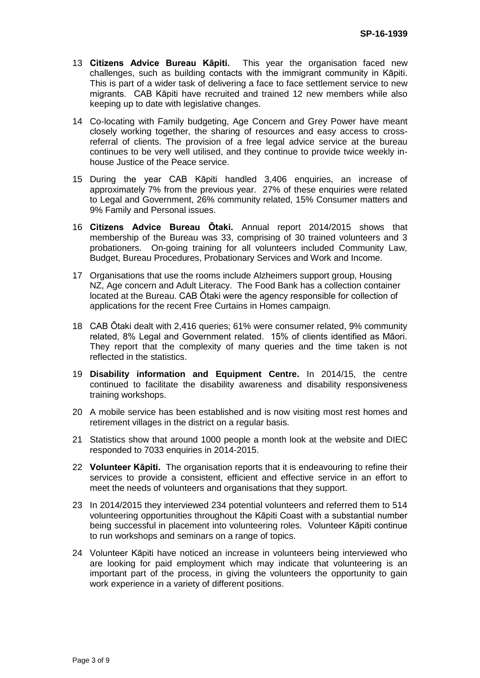- 13 **Citizens Advice Bureau Kāpiti.** This year the organisation faced new challenges, such as building contacts with the immigrant community in Kāpiti. This is part of a wider task of delivering a face to face settlement service to new migrants. CAB Kāpiti have recruited and trained 12 new members while also keeping up to date with legislative changes.
- 14 Co-locating with Family budgeting, Age Concern and Grey Power have meant closely working together, the sharing of resources and easy access to crossreferral of clients. The provision of a free legal advice service at the bureau continues to be very well utilised, and they continue to provide twice weekly inhouse Justice of the Peace service.
- 15 During the year CAB Kāpiti handled 3,406 enquiries, an increase of approximately 7% from the previous year. 27% of these enquiries were related to Legal and Government, 26% community related, 15% Consumer matters and 9% Family and Personal issues.
- 16 **Citizens Advice Bureau Ōtaki.** Annual report 2014/2015 shows that membership of the Bureau was 33, comprising of 30 trained volunteers and 3 probationers. On-going training for all volunteers included Community Law, Budget, Bureau Procedures, Probationary Services and Work and Income.
- 17 Organisations that use the rooms include Alzheimers support group, Housing NZ, Age concern and Adult Literacy. The Food Bank has a collection container located at the Bureau. CAB Ōtaki were the agency responsible for collection of applications for the recent Free Curtains in Homes campaign.
- 18 CAB Ōtaki dealt with 2,416 queries; 61% were consumer related, 9% community related, 8% Legal and Government related. 15% of clients identified as Māori. They report that the complexity of many queries and the time taken is not reflected in the statistics.
- 19 **Disability information and Equipment Centre.** In 2014/15, the centre continued to facilitate the disability awareness and disability responsiveness training workshops.
- 20 A mobile service has been established and is now visiting most rest homes and retirement villages in the district on a regular basis.
- 21 Statistics show that around 1000 people a month look at the website and DIEC responded to 7033 enquiries in 2014-2015.
- 22 **Volunteer Kāpiti.** The organisation reports that it is endeavouring to refine their services to provide a consistent, efficient and effective service in an effort to meet the needs of volunteers and organisations that they support.
- 23 In 2014/2015 they interviewed 234 potential volunteers and referred them to 514 volunteering opportunities throughout the Kāpiti Coast with a substantial number being successful in placement into volunteering roles. Volunteer Kāpiti continue to run workshops and seminars on a range of topics.
- 24 Volunteer Kāpiti have noticed an increase in volunteers being interviewed who are looking for paid employment which may indicate that volunteering is an important part of the process, in giving the volunteers the opportunity to gain work experience in a variety of different positions.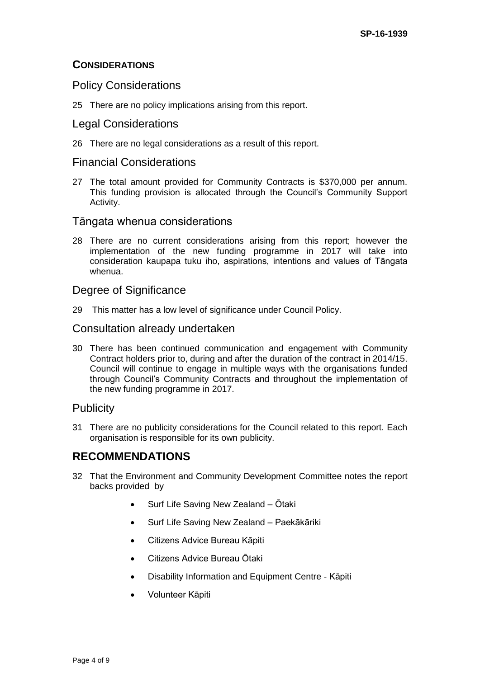# **CONSIDERATIONS**

# Policy Considerations

25 There are no policy implications arising from this report.

## Legal Considerations

26 There are no legal considerations as a result of this report.

## Financial Considerations

27 The total amount provided for Community Contracts is \$370,000 per annum. This funding provision is allocated through the Council's Community Support Activity.

## Tāngata whenua considerations

28 There are no current considerations arising from this report; however the implementation of the new funding programme in 2017 will take into consideration kaupapa tuku iho, aspirations, intentions and values of Tāngata whenua.

## Degree of Significance

29 This matter has a low level of significance under Council Policy.

## Consultation already undertaken

30 There has been continued communication and engagement with Community Contract holders prior to, during and after the duration of the contract in 2014/15. Council will continue to engage in multiple ways with the organisations funded through Council's Community Contracts and throughout the implementation of the new funding programme in 2017.

## **Publicity**

31 There are no publicity considerations for the Council related to this report. Each organisation is responsible for its own publicity.

# **RECOMMENDATIONS**

- 32 That the Environment and Community Development Committee notes the report backs provided by
	- Surf Life Saving New Zealand Ōtaki
	- Surf Life Saving New Zealand Paekākāriki
	- Citizens Advice Bureau Kāpiti
	- Citizens Advice Bureau Ōtaki
	- Disability Information and Equipment Centre Kāpiti
	- Volunteer Kāpiti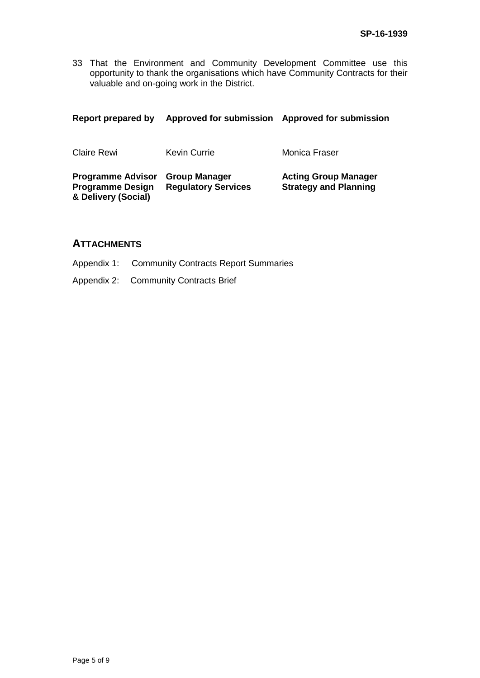33 That the Environment and Community Development Committee use this opportunity to thank the organisations which have Community Contracts for their valuable and on-going work in the District.

| <b>Report prepared by</b>                                                  | Approved for submission Approved for submission    |                                                             |
|----------------------------------------------------------------------------|----------------------------------------------------|-------------------------------------------------------------|
| <b>Claire Rewi</b>                                                         | <b>Kevin Currie</b>                                | Monica Fraser                                               |
| <b>Programme Advisor</b><br><b>Programme Design</b><br>& Delivery (Social) | <b>Group Manager</b><br><b>Regulatory Services</b> | <b>Acting Group Manager</b><br><b>Strategy and Planning</b> |

## **ATTACHMENTS**

- Appendix 1: Community Contracts Report Summaries
- Appendix 2: Community Contracts Brief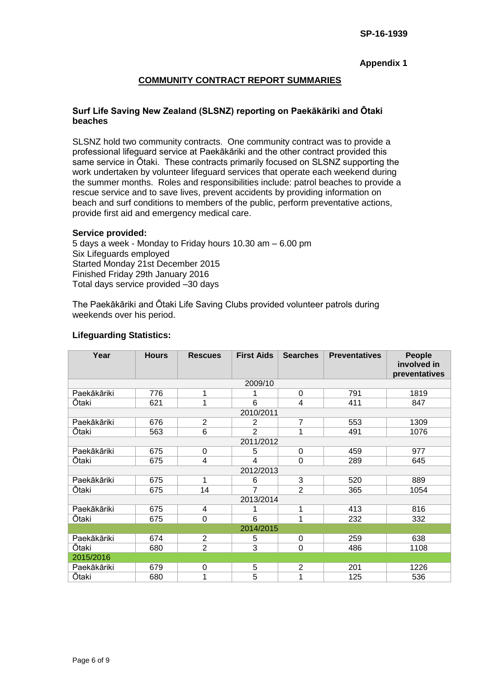### **Appendix 1**

## **COMMUNITY CONTRACT REPORT SUMMARIES**

### **Surf Life Saving New Zealand (SLSNZ) reporting on Paekākāriki and Ōtaki beaches**

SLSNZ hold two community contracts. One community contract was to provide a professional lifeguard service at Paekākāriki and the other contract provided this same service in Ōtaki. These contracts primarily focused on SLSNZ supporting the work undertaken by volunteer lifeguard services that operate each weekend during the summer months. Roles and responsibilities include: patrol beaches to provide a rescue service and to save lives, prevent accidents by providing information on beach and surf conditions to members of the public, perform preventative actions, provide first aid and emergency medical care.

#### **Service provided:**

5 days a week - Monday to Friday hours 10.30 am – 6.00 pm Six Lifeguards employed Started Monday 21st December 2015 Finished Friday 29th January 2016 Total days service provided –30 days

The Paekākāriki and Ōtaki Life Saving Clubs provided volunteer patrols during weekends over his period.

| Year         | <b>Hours</b> | <b>Rescues</b> | <b>First Aids</b> | <b>Searches</b> | <b>Preventatives</b> | People<br>involved in<br>preventatives |
|--------------|--------------|----------------|-------------------|-----------------|----------------------|----------------------------------------|
|              |              |                | 2009/10           |                 |                      |                                        |
| Paekākāriki  | 776          | 1              | 1                 | 0               | 791                  | 1819                                   |
| Ōtaki        | 621          | 1              | 6                 | 4               | 411                  | 847                                    |
| 2010/2011    |              |                |                   |                 |                      |                                        |
| Paekākāriki  | 676          | $\overline{2}$ | 2                 | $\overline{7}$  | 553                  | 1309                                   |
| Ōtaki        | 563          | 6              | $\overline{2}$    | 1               | 491                  | 1076                                   |
| 2011/2012    |              |                |                   |                 |                      |                                        |
| Paekākāriki  | 675          | 0              | 5                 | 0               | 459                  | 977                                    |
| Ōtaki        | 675          | 4              | $\overline{4}$    | 0               | 289                  | 645                                    |
| 2012/2013    |              |                |                   |                 |                      |                                        |
| Paekākāriki  | 675          | 1              | 6                 | 3               | 520                  | 889                                    |
| Ōtaki        | 675          | 14             | 7                 | $\overline{2}$  | 365                  | 1054                                   |
| 2013/2014    |              |                |                   |                 |                      |                                        |
| Paekākāriki  | 675          | 4              | 1                 | 1               | 413                  | 816                                    |
| <b>Ōtaki</b> | 675          | 0              | 6                 | 1               | 232                  | 332                                    |
| 2014/2015    |              |                |                   |                 |                      |                                        |
| Paekākāriki  | 674          | $\overline{2}$ | 5                 | 0               | 259                  | 638                                    |
| Ōtaki        | 680          | $\overline{2}$ | 3                 | $\mathbf 0$     | 486                  | 1108                                   |
| 2015/2016    |              |                |                   |                 |                      |                                        |
| Paekākāriki  | 679          | $\mathbf 0$    | 5                 | $\overline{2}$  | 201                  | 1226                                   |
| Ōtaki        | 680          | 1              | 5                 |                 | 125                  | 536                                    |

#### **Lifeguarding Statistics:**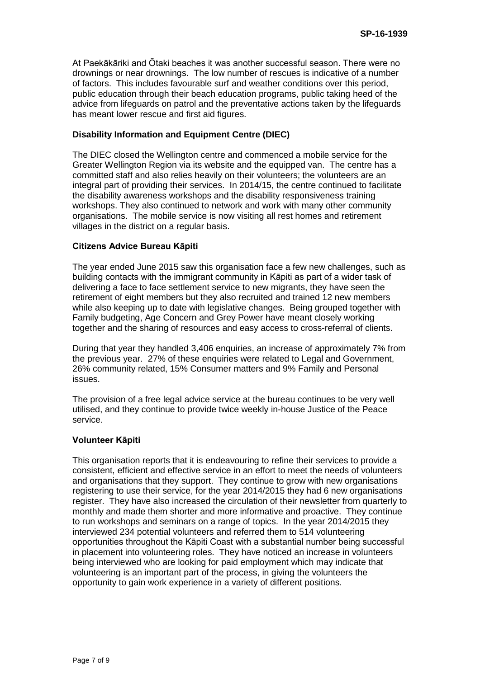At Paekākāriki and Ōtaki beaches it was another successful season. There were no drownings or near drownings. The low number of rescues is indicative of a number of factors. This includes favourable surf and weather conditions over this period, public education through their beach education programs, public taking heed of the advice from lifeguards on patrol and the preventative actions taken by the lifeguards has meant lower rescue and first aid figures.

### **Disability Information and Equipment Centre (DIEC)**

The DIEC closed the Wellington centre and commenced a mobile service for the Greater Wellington Region via its website and the equipped van. The centre has a committed staff and also relies heavily on their volunteers; the volunteers are an integral part of providing their services. In 2014/15, the centre continued to facilitate the disability awareness workshops and the disability responsiveness training workshops. They also continued to network and work with many other community organisations. The mobile service is now visiting all rest homes and retirement villages in the district on a regular basis.

### **Citizens Advice Bureau Kāpiti**

The year ended June 2015 saw this organisation face a few new challenges, such as building contacts with the immigrant community in Kāpiti as part of a wider task of delivering a face to face settlement service to new migrants, they have seen the retirement of eight members but they also recruited and trained 12 new members while also keeping up to date with legislative changes. Being grouped together with Family budgeting, Age Concern and Grey Power have meant closely working together and the sharing of resources and easy access to cross-referral of clients.

During that year they handled 3,406 enquiries, an increase of approximately 7% from the previous year. 27% of these enquiries were related to Legal and Government, 26% community related, 15% Consumer matters and 9% Family and Personal issues.

The provision of a free legal advice service at the bureau continues to be very well utilised, and they continue to provide twice weekly in-house Justice of the Peace service.

### **Volunteer Kāpiti**

This organisation reports that it is endeavouring to refine their services to provide a consistent, efficient and effective service in an effort to meet the needs of volunteers and organisations that they support. They continue to grow with new organisations registering to use their service, for the year 2014/2015 they had 6 new organisations register. They have also increased the circulation of their newsletter from quarterly to monthly and made them shorter and more informative and proactive. They continue to run workshops and seminars on a range of topics. In the year 2014/2015 they interviewed 234 potential volunteers and referred them to 514 volunteering opportunities throughout the Kāpiti Coast with a substantial number being successful in placement into volunteering roles. They have noticed an increase in volunteers being interviewed who are looking for paid employment which may indicate that volunteering is an important part of the process, in giving the volunteers the opportunity to gain work experience in a variety of different positions.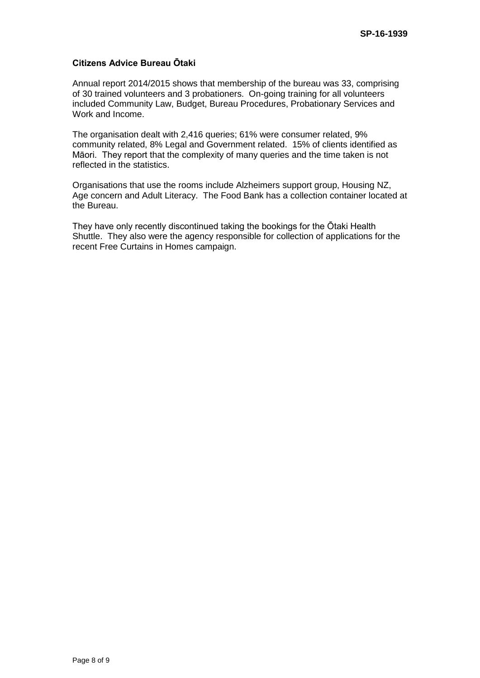### **Citizens Advice Bureau Ōtaki**

Annual report 2014/2015 shows that membership of the bureau was 33, comprising of 30 trained volunteers and 3 probationers. On-going training for all volunteers included Community Law, Budget, Bureau Procedures, Probationary Services and Work and Income.

The organisation dealt with 2,416 queries; 61% were consumer related, 9% community related, 8% Legal and Government related. 15% of clients identified as Māori. They report that the complexity of many queries and the time taken is not reflected in the statistics.

Organisations that use the rooms include Alzheimers support group, Housing NZ, Age concern and Adult Literacy. The Food Bank has a collection container located at the Bureau.

They have only recently discontinued taking the bookings for the Ōtaki Health Shuttle. They also were the agency responsible for collection of applications for the recent Free Curtains in Homes campaign.